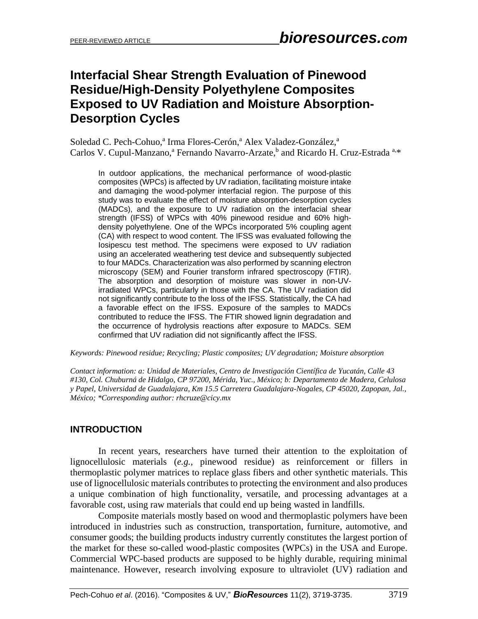# **Interfacial Shear Strength Evaluation of Pinewood Residue/High-Density Polyethylene Composites Exposed to UV Radiation and Moisture Absorption-Desorption Cycles**

Soledad C. Pech-Cohuo,<sup>a</sup> Irma Flores-Cerón,<sup>a</sup> Alex Valadez-González,<sup>a</sup> Carlos V. Cupul-Manzano,<sup>a</sup> Fernando Navarro-Arzate,<sup>b</sup> and Ricardo H. Cruz-Estrada<sup>a,\*</sup>

In outdoor applications, the mechanical performance of wood-plastic composites (WPCs) is affected by UV radiation, facilitating moisture intake and damaging the wood-polymer interfacial region. The purpose of this study was to evaluate the effect of moisture absorption-desorption cycles (MADCs), and the exposure to UV radiation on the interfacial shear strength (IFSS) of WPCs with 40% pinewood residue and 60% highdensity polyethylene. One of the WPCs incorporated 5% coupling agent (CA) with respect to wood content. The IFSS was evaluated following the Iosipescu test method. The specimens were exposed to UV radiation using an accelerated weathering test device and subsequently subjected to four MADCs. Characterization was also performed by scanning electron microscopy (SEM) and Fourier transform infrared spectroscopy (FTIR). The absorption and desorption of moisture was slower in non-UVirradiated WPCs, particularly in those with the CA. The UV radiation did not significantly contribute to the loss of the IFSS. Statistically, the CA had a favorable effect on the IFSS. Exposure of the samples to MADCs contributed to reduce the IFSS. The FTIR showed lignin degradation and the occurrence of hydrolysis reactions after exposure to MADCs. SEM confirmed that UV radiation did not significantly affect the IFSS.

*Keywords: Pinewood residue; Recycling; Plastic composites; UV degradation; Moisture absorption* 

*Contact information: a: Unidad de Materiales, Centro de Investigación Científica de Yucatán, Calle 43 #130, Col. Chuburná de Hidalgo, CP 97200, Mérida, Yuc., México; b: Departamento de Madera, Celulosa y Papel, Universidad de Guadalajara, Km 15.5 Carretera Guadalajara-Nogales, CP 45020, Zapopan, Jal., México; \*Corresponding author: rhcruze@cicy.mx*

# **INTRODUCTION**

In recent years, researchers have turned their attention to the exploitation of lignocellulosic materials (*e.g.*, pinewood residue) as reinforcement or fillers in thermoplastic polymer matrices to replace glass fibers and other synthetic materials. This use of lignocellulosic materials contributes to protecting the environment and also produces a unique combination of high functionality, versatile, and processing advantages at a favorable cost, using raw materials that could end up being wasted in landfills.

Composite materials mostly based on wood and thermoplastic polymers have been introduced in industries such as construction, transportation, furniture, automotive, and consumer goods; the building products industry currently constitutes the largest portion of the market for these so-called wood-plastic composites (WPCs) in the USA and Europe. Commercial WPC-based products are supposed to be highly durable, requiring minimal maintenance. However, research involving exposure to ultraviolet (UV) radiation and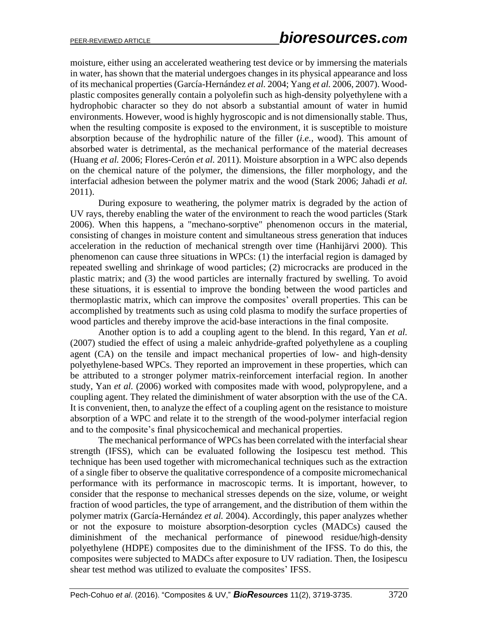moisture, either using an accelerated weathering test device or by immersing the materials in water, has shown that the material undergoes changes in its physical appearance and loss of its mechanical properties(García-Hernández *et al.* 2004; Yang *et al.* 2006, 2007). Woodplastic composites generally contain a polyolefin such as high-density polyethylene with a hydrophobic character so they do not absorb a substantial amount of water in humid environments. However, wood is highly hygroscopic and is not dimensionally stable. Thus, when the resulting composite is exposed to the environment, it is susceptible to moisture absorption because of the hydrophilic nature of the filler (*i.e.*, wood). This amount of absorbed water is detrimental, as the mechanical performance of the material decreases (Huang *et al.* 2006; Flores-Cerón *et al.* 2011). Moisture absorption in a WPC also depends on the chemical nature of the polymer, the dimensions, the filler morphology, and the interfacial adhesion between the polymer matrix and the wood (Stark 2006; Jahadi *et al.* 2011).

During exposure to weathering, the polymer matrix is degraded by the action of UV rays, thereby enabling the water of the environment to reach the wood particles (Stark 2006). When this happens, a "mechano-sorptive" phenomenon occurs in the material, consisting of changes in moisture content and simultaneous stress generation that induces acceleration in the reduction of mechanical strength over time (Hanhijärvi 2000). This phenomenon can cause three situations in WPCs: (1) the interfacial region is damaged by repeated swelling and shrinkage of wood particles; (2) microcracks are produced in the plastic matrix; and (3) the wood particles are internally fractured by swelling. To avoid these situations, it is essential to improve the bonding between the wood particles and thermoplastic matrix, which can improve the composites' overall properties. This can be accomplished by treatments such as using cold plasma to modify the surface properties of wood particles and thereby improve the acid-base interactions in the final composite.

Another option is to add a coupling agent to the blend. In this regard, Yan *et al.* (2007) studied the effect of using a maleic anhydride-grafted polyethylene as a coupling agent (CA) on the tensile and impact mechanical properties of low- and high-density polyethylene-based WPCs. They reported an improvement in these properties, which can be attributed to a stronger polymer matrix-reinforcement interfacial region. In another study, Yan *et al.* (2006) worked with composites made with wood, polypropylene, and a coupling agent. They related the diminishment of water absorption with the use of the CA. It is convenient, then, to analyze the effect of a coupling agent on the resistance to moisture absorption of a WPC and relate it to the strength of the wood-polymer interfacial region and to the composite's final physicochemical and mechanical properties.

The mechanical performance of WPCs has been correlated with the interfacial shear strength (IFSS), which can be evaluated following the Iosipescu test method. This technique has been used together with micromechanical techniques such as the extraction of a single fiber to observe the qualitative correspondence of a composite micromechanical performance with its performance in macroscopic terms. It is important, however, to consider that the response to mechanical stresses depends on the size, volume, or weight fraction of wood particles, the type of arrangement, and the distribution of them within the polymer matrix (García-Hernández *et al.* 2004). Accordingly, this paper analyzes whether or not the exposure to moisture absorption-desorption cycles (MADCs) caused the diminishment of the mechanical performance of pinewood residue/high-density polyethylene (HDPE) composites due to the diminishment of the IFSS. To do this, the composites were subjected to MADCs after exposure to UV radiation. Then, the Iosipescu shear test method was utilized to evaluate the composites' IFSS.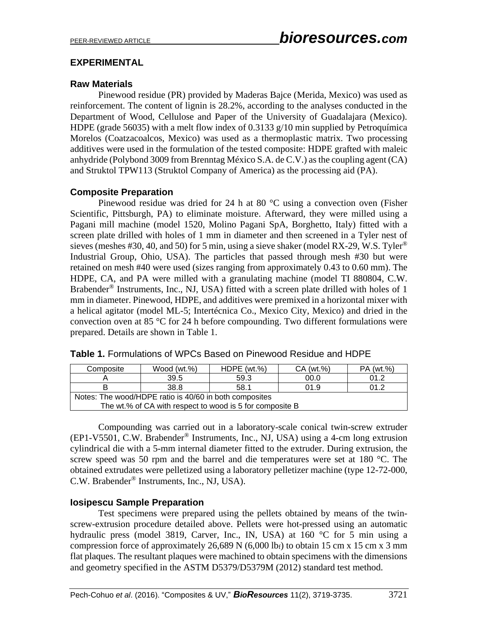# **EXPERIMENTAL**

# **Raw Materials**

Pinewood residue (PR) provided by Maderas Bajce (Merida, Mexico) was used as reinforcement. The content of lignin is 28.2%, according to the analyses conducted in the Department of Wood, Cellulose and Paper of the University of Guadalajara (Mexico). HDPE (grade 56035) with a melt flow index of 0.3133 g/10 min supplied by Petroquímica Morelos (Coatzacoalcos, Mexico) was used as a thermoplastic matrix. Two processing additives were used in the formulation of the tested composite: HDPE grafted with maleic anhydride (Polybond 3009 from Brenntag México S.A. de C.V.) asthe coupling agent (CA) and Struktol TPW113 (Struktol Company of America) as the processing aid (PA).

# **Composite Preparation**

Pinewood residue was dried for 24 h at 80 °C using a convection oven (Fisher Scientific, Pittsburgh, PA) to eliminate moisture. Afterward, they were milled using a Pagani mill machine (model 1520, Molino Pagani SpA, Borghetto, Italy) fitted with a screen plate drilled with holes of 1 mm in diameter and then screened in a Tyler nest of sieves (meshes #30, 40, and 50) for 5 min, using a sieve shaker (model RX-29, W.S. Tyler<sup>®</sup> Industrial Group, Ohio, USA). The particles that passed through mesh #30 but were retained on mesh #40 were used (sizes ranging from approximately 0.43 to 0.60 mm). The HDPE, CA, and PA were milled with a granulating machine (model TI 880804, C.W. Brabender<sup>®</sup> Instruments, Inc., NJ, USA) fitted with a screen plate drilled with holes of 1 mm in diameter. Pinewood, HDPE, and additives were premixed in a horizontal mixer with a helical agitator (model ML-5; Intertécnica Co., Mexico City, Mexico) and dried in the convection oven at 85 °C for 24 h before compounding. Two different formulations were prepared. Details are shown in Table 1.

| Composite                                                | Wood $(wt.\%)$ | HDPE $(wt.%)$ | CA (wt.%) | PA (wt.%) |  |
|----------------------------------------------------------|----------------|---------------|-----------|-----------|--|
|                                                          | 39.5           | 00.0          | 01.2      |           |  |
|                                                          | 38.8           | 58.1          | 01.9      | 01.2      |  |
| Notes: The wood/HDPE ratio is 40/60 in both composites   |                |               |           |           |  |
| The wt.% of CA with respect to wood is 5 for composite B |                |               |           |           |  |

|  | <b>Table 1.</b> Formulations of WPCs Based on Pinewood Residue and HDPE |  |  |  |  |  |
|--|-------------------------------------------------------------------------|--|--|--|--|--|
|--|-------------------------------------------------------------------------|--|--|--|--|--|

Compounding was carried out in a laboratory-scale conical twin-screw extruder (EP1-V5501, C.W. Brabender® Instruments, Inc., NJ, USA) using a 4-cm long extrusion cylindrical die with a 5-mm internal diameter fitted to the extruder. During extrusion, the screw speed was 50 rpm and the barrel and die temperatures were set at 180 °C. The obtained extrudates were pelletized using a laboratory pelletizer machine (type 12-72-000, C.W. Brabender® Instruments, Inc., NJ, USA).

# **Iosipescu Sample Preparation**

Test specimens were prepared using the pellets obtained by means of the twinscrew-extrusion procedure detailed above. Pellets were hot-pressed using an automatic hydraulic press (model 3819, Carver, Inc., IN, USA) at 160 °C for 5 min using a compression force of approximately 26,689 N  $(6,000 \text{ lbf})$  to obtain 15 cm x 15 cm x 3 mm flat plaques. The resultant plaques were machined to obtain specimens with the dimensions and geometry specified in the ASTM D5379/D5379M (2012) standard test method.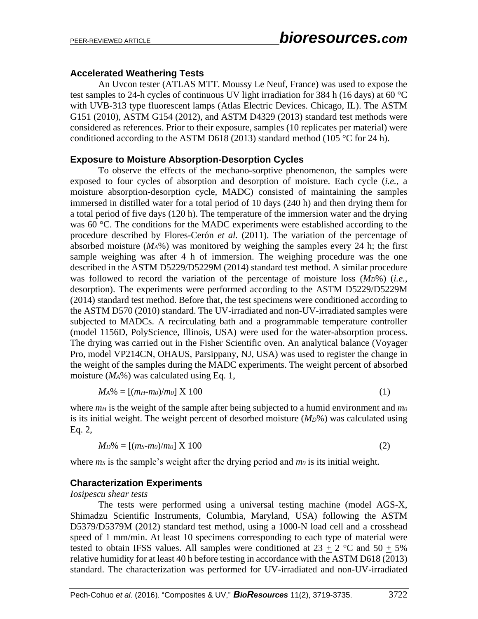# **Accelerated Weathering Tests**

An Uvcon tester (ATLAS MTT. Moussy Le Neuf, France) was used to expose the test samples to 24-h cycles of continuous UV light irradiation for 384 h (16 days) at 60 °C with UVB-313 type fluorescent lamps (Atlas Electric Devices. Chicago, IL). The ASTM G151 (2010), ASTM G154 (2012), and ASTM D4329 (2013) standard test methods were considered as references. Prior to their exposure, samples (10 replicates per material) were conditioned according to the ASTM D618 (2013) standard method (105  $\degree$ C for 24 h).

### **Exposure to Moisture Absorption-Desorption Cycles**

To observe the effects of the mechano-sorptive phenomenon, the samples were exposed to four cycles of absorption and desorption of moisture. Each cycle (*i.e.*, a moisture absorption-desorption cycle, MADC) consisted of maintaining the samples immersed in distilled water for a total period of 10 days (240 h) and then drying them for a total period of five days (120 h). The temperature of the immersion water and the drying was 60 °C. The conditions for the MADC experiments were established according to the procedure described by Flores-Cerón *et al.* (2011). The variation of the percentage of absorbed moisture (*MA*%) was monitored by weighing the samples every 24 h; the first sample weighing was after 4 h of immersion. The weighing procedure was the one described in the ASTM D5229/D5229M (2014) standard test method. A similar procedure was followed to record the variation of the percentage of moisture loss (*MD*%) (*i.e.*, desorption). The experiments were performed according to the ASTM D5229/D5229M (2014) standard test method. Before that, the test specimens were conditioned according to the ASTM D570 (2010) standard. The UV-irradiated and non-UV-irradiated samples were subjected to MADCs. A recirculating bath and a programmable temperature controller (model 1156D, PolyScience, Illinois, USA) were used for the water-absorption process. The drying was carried out in the Fisher Scientific oven. An analytical balance (Voyager Pro, model VP214CN, OHAUS, Parsippany, NJ, USA) was used to register the change in the weight of the samples during the MADC experiments. The weight percent of absorbed moisture (*MA*%) was calculated using Eq. 1,

$$
M_A\% = [(m_H - m_0)/m_0] \times 100 \tag{1}
$$

where  $m_H$  is the weight of the sample after being subjected to a humid environment and  $m_0$ is its initial weight. The weight percent of desorbed moisture (*MD*%) was calculated using Eq. 2,

$$
M_D\% = [(m_S - m_0)/m_0] \times 100 \tag{2}
$$

where *m<sub>S</sub>* is the sample's weight after the drying period and *m<sub>0</sub>* is its initial weight.

#### **Characterization Experiments**

*Iosipescu shear tests*

The tests were performed using a universal testing machine (model AGS-X, Shimadzu Scientific Instruments, Columbia, Maryland, USA) following the ASTM D5379/D5379M (2012) standard test method, using a 1000-N load cell and a crosshead speed of 1 mm/min. At least 10 specimens corresponding to each type of material were tested to obtain IFSS values. All samples were conditioned at  $23 + 2$  °C and  $50 + 5%$ relative humidity for at least 40 h before testing in accordance with the ASTM D618 (2013) standard. The characterization was performed for UV-irradiated and non-UV-irradiated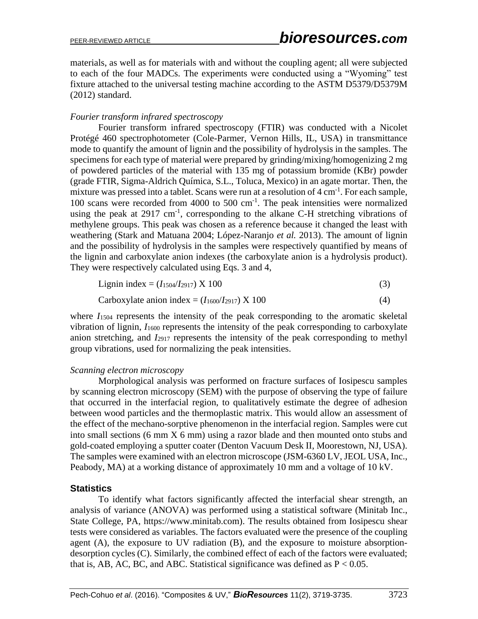materials, as well as for materials with and without the coupling agent; all were subjected to each of the four MADCs. The experiments were conducted using a "Wyoming" test fixture attached to the universal testing machine according to the ASTM D5379/D5379M (2012) standard.

### *Fourier transform infrared spectroscopy*

Fourier transform infrared spectroscopy (FTIR) was conducted with a Nicolet Protégé 460 spectrophotometer (Cole-Parmer, Vernon Hills, IL, USA) in transmittance mode to quantify the amount of lignin and the possibility of hydrolysis in the samples. The specimens for each type of material were prepared by grinding/mixing/homogenizing 2 mg of powdered particles of the material with 135 mg of potassium bromide (KBr) powder (grade FTIR, Sigma-Aldrich Química, S.L., Toluca, Mexico) in an agate mortar. Then, the mixture was pressed into a tablet. Scans were run at a resolution of 4 cm<sup>-1</sup>. For each sample, 100 scans were recorded from 4000 to 500 cm-1 . The peak intensities were normalized using the peak at  $2917 \text{ cm}^{-1}$ , corresponding to the alkane C-H stretching vibrations of methylene groups. This peak was chosen as a reference because it changed the least with weathering (Stark and Matuana 2004; López-Naranjo *et al.* 2013). The amount of lignin and the possibility of hydrolysis in the samples were respectively quantified by means of the lignin and carboxylate anion indexes (the carboxylate anion is a hydrolysis product). They were respectively calculated using Eqs. 3 and 4,

$$
Lignin index = (I1504/I2917) X 100
$$
 (3)

Carboxylate anion index = 
$$
(I_{1600}/I_{2917}) \times 100
$$
 (4)

where  $I<sub>1504</sub>$  represents the intensity of the peak corresponding to the aromatic skeletal vibration of lignin, *I*<sup>1600</sup> represents the intensity of the peak corresponding to carboxylate anion stretching, and *I*<sup>2917</sup> represents the intensity of the peak corresponding to methyl group vibrations, used for normalizing the peak intensities.

#### *Scanning electron microscopy*

Morphological analysis was performed on fracture surfaces of Iosipescu samples by scanning electron microscopy (SEM) with the purpose of observing the type of failure that occurred in the interfacial region, to qualitatively estimate the degree of adhesion between wood particles and the thermoplastic matrix. This would allow an assessment of the effect of the mechano-sorptive phenomenon in the interfacial region. Samples were cut into small sections (6 mm X 6 mm) using a razor blade and then mounted onto stubs and gold-coated employing a sputter coater (Denton Vacuum Desk II, Moorestown, NJ, USA). The samples were examined with an electron microscope (JSM-6360 LV, JEOL USA, Inc., Peabody, MA) at a working distance of approximately 10 mm and a voltage of 10 kV.

#### **Statistics**

To identify what factors significantly affected the interfacial shear strength, an analysis of variance (ANOVA) was performed using a statistical software (Minitab Inc., State College, PA, https://www.minitab.com). The results obtained from Iosipescu shear tests were considered as variables. The factors evaluated were the presence of the coupling agent (A), the exposure to UV radiation (B), and the exposure to moisture absorptiondesorption cycles (C). Similarly, the combined effect of each of the factors were evaluated; that is, AB, AC, BC, and ABC. Statistical significance was defined as  $P < 0.05$ .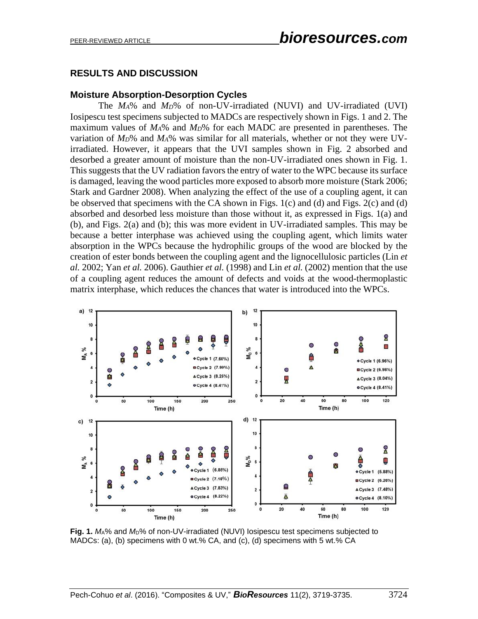# **RESULTS AND DISCUSSION**

# **Moisture Absorption-Desorption Cycles**

The *MA*% and *MD*% of non-UV-irradiated (NUVI) and UV-irradiated (UVI) Iosipescu test specimens subjected to MADCs are respectively shown in Figs. 1 and 2. The maximum values of *MA*% and *MD*% for each MADC are presented in parentheses. The variation of *MD*% and *MA*% was similar for all materials, whether or not they were UVirradiated. However, it appears that the UVI samples shown in Fig. 2 absorbed and desorbed a greater amount of moisture than the non-UV-irradiated ones shown in Fig. 1. This suggests that the UV radiation favors the entry of water to the WPC because its surface is damaged, leaving the wood particles more exposed to absorb more moisture (Stark 2006; Stark and Gardner 2008). When analyzing the effect of the use of a coupling agent, it can be observed that specimens with the CA shown in Figs. 1(c) and (d) and Figs. 2(c) and (d) absorbed and desorbed less moisture than those without it, as expressed in Figs. 1(a) and (b), and Figs. 2(a) and (b); this was more evident in UV-irradiated samples. This may be because a better interphase was achieved using the coupling agent, which limits water absorption in the WPCs because the hydrophilic groups of the wood are blocked by the creation of ester bonds between the coupling agent and the lignocellulosic particles (Lin *et al.* 2002; Yan *et al.* 2006). Gauthier *et al.* (1998) and Lin *et al.* (2002) mention that the use of a coupling agent reduces the amount of defects and voids at the wood-thermoplastic matrix interphase, which reduces the chances that water is introduced into the WPCs.



**Fig. 1.** *M*A% and *M*D% of non-UV-irradiated (NUVI) Iosipescu test specimens subjected to MADCs: (a), (b) specimens with 0 wt.% CA, and (c), (d) specimens with 5 wt.% CA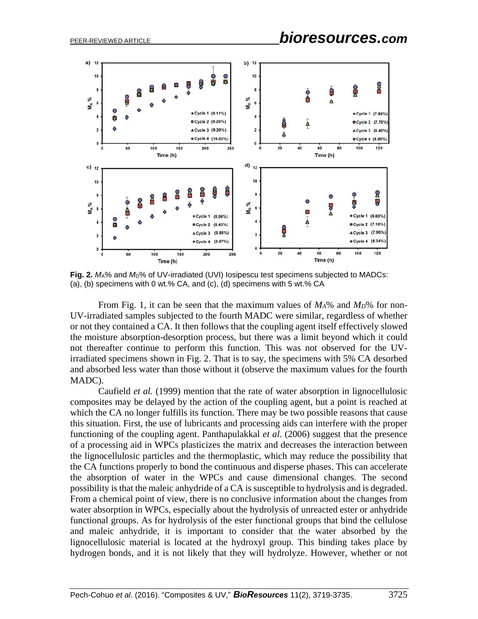

**Fig. 2.** *M*A% and *M*D% of UV-irradiated (UVI) Iosipescu test specimens subjected to MADCs: (a), (b) specimens with 0 wt.% CA, and (c), (d) specimens with 5 wt.% CA

From Fig. 1, it can be seen that the maximum values of *MA*% and *MD*% for non-UV-irradiated samples subjected to the fourth MADC were similar, regardless of whether or not they contained a CA. It then follows that the coupling agent itself effectively slowed the moisture absorption-desorption process, but there was a limit beyond which it could not thereafter continue to perform this function. This was not observed for the UVirradiated specimens shown in Fig. 2. That is to say, the specimens with 5% CA desorbed and absorbed less water than those without it (observe the maximum values for the fourth MADC).

Caufield *et al.* (1999) mention that the rate of water absorption in lignocellulosic composites may be delayed by the action of the coupling agent, but a point is reached at which the CA no longer fulfills its function. There may be two possible reasons that cause this situation. First, the use of lubricants and processing aids can interfere with the proper functioning of the coupling agent. Panthapulakkal *et al*. (2006) suggest that the presence of a processing aid in WPCs plasticizes the matrix and decreases the interaction between the lignocellulosic particles and the thermoplastic, which may reduce the possibility that the CA functions properly to bond the continuous and disperse phases. This can accelerate the absorption of water in the WPCs and cause dimensional changes. The second possibility is that the maleic anhydride of a CA is susceptible to hydrolysis and is degraded. From a chemical point of view, there is no conclusive information about the changes from water absorption in WPCs, especially about the hydrolysis of unreacted ester or anhydride functional groups. As for hydrolysis of the ester functional groups that bind the cellulose and maleic anhydride, it is important to consider that the water absorbed by the lignocellulosic material is located at the hydroxyl group. This binding takes place by hydrogen bonds, and it is not likely that they will hydrolyze. However, whether or not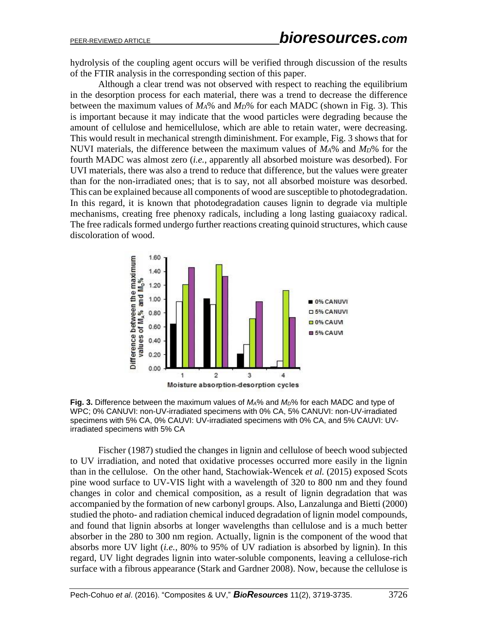hydrolysis of the coupling agent occurs will be verified through discussion of the results of the FTIR analysis in the corresponding section of this paper.

Although a clear trend was not observed with respect to reaching the equilibrium in the desorption process for each material, there was a trend to decrease the difference between the maximum values of *MA*% and *MD*% for each MADC (shown in Fig. 3). This is important because it may indicate that the wood particles were degrading because the amount of cellulose and hemicellulose, which are able to retain water, were decreasing. This would result in mechanical strength diminishment. For example, Fig. 3 shows that for NUVI materials, the difference between the maximum values of *MA*% and *MD*% for the fourth MADC was almost zero (*i.e.*, apparently all absorbed moisture was desorbed). For UVI materials, there was also a trend to reduce that difference, but the values were greater than for the non-irradiated ones; that is to say, not all absorbed moisture was desorbed. This can be explained because all components of wood are susceptible to photodegradation. In this regard, it is known that photodegradation causes lignin to degrade via multiple mechanisms, creating free phenoxy radicals, including a long lasting guaiacoxy radical. The free radicals formed undergo further reactions creating quinoid structures, which cause discoloration of wood.





Fischer (1987) studied the changes in lignin and cellulose of beech wood subjected to UV irradiation, and noted that oxidative processes occurred more easily in the lignin than in the cellulose. On the other hand, Stachowiak-Wencek *et al.* (2015) exposed Scots pine wood surface to UV-VIS light with a wavelength of 320 to 800 nm and they found changes in color and chemical composition, as a result of lignin degradation that was accompanied by the formation of new carbonyl groups. Also, Lanzalunga and Bietti (2000) studied the photo- and radiation chemical induced degradation of lignin model compounds, and found that lignin absorbs at longer wavelengths than cellulose and is a much better absorber in the 280 to 300 nm region. Actually, lignin is the component of the wood that absorbs more UV light (*i.e.*, 80% to 95% of UV radiation is absorbed by lignin). In this regard, UV light degrades lignin into water-soluble components, leaving a cellulose-rich surface with a fibrous appearance (Stark and Gardner 2008). Now, because the cellulose is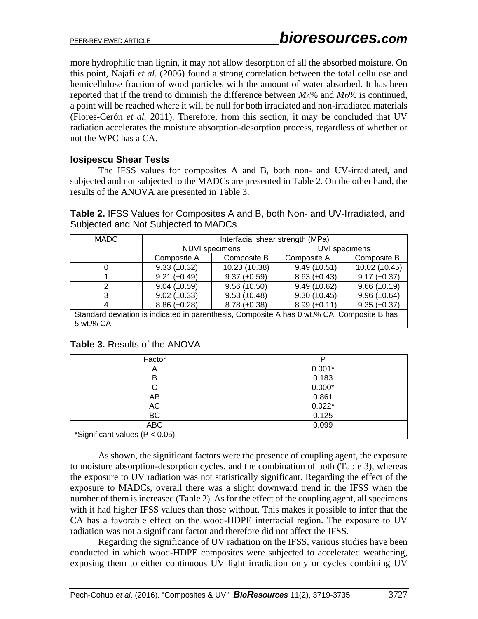more hydrophilic than lignin, it may not allow desorption of all the absorbed moisture. On this point, Najafi *et al.* (2006) found a strong correlation between the total cellulose and hemicellulose fraction of wood particles with the amount of water absorbed. It has been reported that if the trend to diminish the difference between *MA*% and *MD*% is continued, a point will be reached where it will be null for both irradiated and non-irradiated materials (Flores-Cerón *et al.* 2011). Therefore, from this section, it may be concluded that UV radiation accelerates the moisture absorption-desorption process, regardless of whether or not the WPC has a CA.

# **Iosipescu Shear Tests**

The IFSS values for composites A and B, both non- and UV-irradiated, and subjected and not subjected to the MADCs are presented in Table 2. On the other hand, the results of the ANOVA are presented in Table 3.

**Table 2.** IFSS Values for Composites A and B, both Non- and UV-Irradiated, and Subjected and Not Subjected to MADCs

| <b>MADC</b>                                                                                | Interfacial shear strength (MPa) |                      |                     |                      |  |
|--------------------------------------------------------------------------------------------|----------------------------------|----------------------|---------------------|----------------------|--|
|                                                                                            | NUVI specimens                   |                      | UVI specimens       |                      |  |
|                                                                                            | Composite A                      | Composite B          | Composite A         | Composite B          |  |
|                                                                                            | $9.33 \ (\pm 0.32)$              | $10.23 \ (\pm 0.38)$ | $9.49 \ (\pm 0.51)$ | $10.02 \ (\pm 0.45)$ |  |
|                                                                                            | $9.21 (\pm 0.49)$                | $9.37 \ (\pm 0.59)$  | $8.63 \ (\pm 0.43)$ | $9.17 \ (\pm 0.37)$  |  |
| 2                                                                                          | $9.04 \ (\pm 0.59)$              | $9.56 \ (\pm 0.50)$  | $9.49 \ (\pm 0.62)$ | $9.66 \ (\pm 0.19)$  |  |
| 3                                                                                          | $9.02 \ (\pm 0.33)$              | $9.53 \ (\pm 0.48)$  | $9.30 \ (\pm 0.45)$ | $9.96 (\pm 0.64)$    |  |
|                                                                                            | $8.86 (\pm 0.28)$                | $8.78 \ (\pm 0.38)$  | $8.99 \ (\pm 0.11)$ | $9.35 \ (\pm 0.37)$  |  |
| Standard deviation is indicated in parenthesis, Composite A has 0 wt.% CA, Composite B has |                                  |                      |                     |                      |  |
| 5 wt.% CA                                                                                  |                                  |                      |                     |                      |  |

| Table 3. Results of the ANOVA |  |
|-------------------------------|--|
|-------------------------------|--|

| Factor                             |          |  |  |  |
|------------------------------------|----------|--|--|--|
| ⌒                                  | $0.001*$ |  |  |  |
| B                                  | 0.183    |  |  |  |
|                                    | $0.000*$ |  |  |  |
| AB                                 | 0.861    |  |  |  |
| AC                                 | $0.022*$ |  |  |  |
| BC                                 | 0.125    |  |  |  |
| <b>ABC</b>                         | 0.099    |  |  |  |
| *Significant values ( $P < 0.05$ ) |          |  |  |  |

As shown, the significant factors were the presence of coupling agent, the exposure to moisture absorption-desorption cycles, and the combination of both (Table 3), whereas the exposure to UV radiation was not statistically significant. Regarding the effect of the exposure to MADCs, overall there was a slight downward trend in the IFSS when the number of them is increased (Table 2). As for the effect of the coupling agent, all specimens with it had higher IFSS values than those without. This makes it possible to infer that the CA has a favorable effect on the wood-HDPE interfacial region. The exposure to UV radiation was not a significant factor and therefore did not affect the IFSS.

Regarding the significance of UV radiation on the IFSS, various studies have been conducted in which wood-HDPE composites were subjected to accelerated weathering, exposing them to either continuous UV light irradiation only or cycles combining UV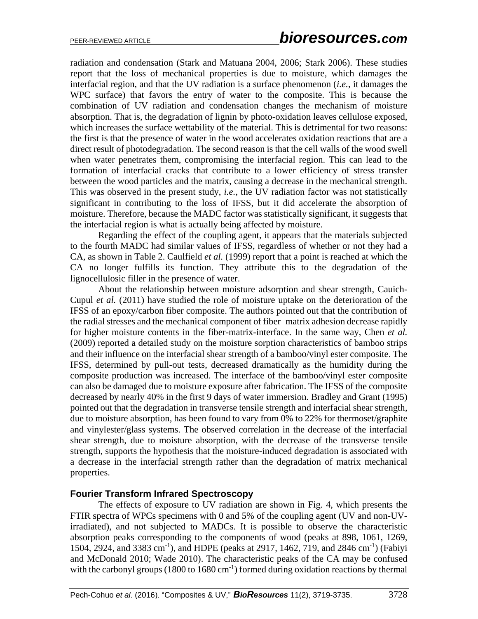radiation and condensation (Stark and Matuana 2004, 2006; Stark 2006). These studies report that the loss of mechanical properties is due to moisture, which damages the interfacial region, and that the UV radiation is a surface phenomenon (*i.e.*, it damages the WPC surface) that favors the entry of water to the composite. This is because the combination of UV radiation and condensation changes the mechanism of moisture absorption. That is, the degradation of lignin by photo-oxidation leaves cellulose exposed, which increases the surface wettability of the material. This is detrimental for two reasons: the first is that the presence of water in the wood accelerates oxidation reactions that are a direct result of photodegradation. The second reason is that the cell walls of the wood swell when water penetrates them, compromising the interfacial region. This can lead to the formation of interfacial cracks that contribute to a lower efficiency of stress transfer between the wood particles and the matrix, causing a decrease in the mechanical strength. This was observed in the present study, *i.e.*, the UV radiation factor was not statistically significant in contributing to the loss of IFSS, but it did accelerate the absorption of moisture. Therefore, because the MADC factor was statistically significant, it suggests that the interfacial region is what is actually being affected by moisture.

Regarding the effect of the coupling agent, it appears that the materials subjected to the fourth MADC had similar values of IFSS, regardless of whether or not they had a CA, as shown in Table 2. Caulfield *et al.* (1999) report that a point is reached at which the CA no longer fulfills its function. They attribute this to the degradation of the lignocellulosic filler in the presence of water.

About the relationship between moisture adsorption and shear strength, Cauich-Cupul *et al.* (2011) have studied the role of moisture uptake on the deterioration of the IFSS of an epoxy/carbon fiber composite. The authors pointed out that the contribution of the radial stresses and the mechanical component of fiber–matrix adhesion decrease rapidly for higher moisture contents in the fiber-matrix-interface. In the same way, Chen *et al.* (2009) reported a detailed study on the moisture sorption characteristics of bamboo strips and their influence on the interfacial shear strength of a bamboo/vinyl ester composite. The IFSS, determined by pull-out tests, decreased dramatically as the humidity during the composite production was increased. The interface of the bamboo/vinyl ester composite can also be damaged due to moisture exposure after fabrication. The IFSS of the composite decreased by nearly 40% in the first 9 days of water immersion. Bradley and Grant (1995) pointed out that the degradation in transverse tensile strength and interfacial shear strength, due to moisture absorption, has been found to vary from 0% to 22% for thermoset/graphite and vinylester/glass systems. The observed correlation in the decrease of the interfacial shear strength, due to moisture absorption, with the decrease of the transverse tensile strength, supports the hypothesis that the moisture-induced degradation is associated with a decrease in the interfacial strength rather than the degradation of matrix mechanical properties.

#### **Fourier Transform Infrared Spectroscopy**

The effects of exposure to UV radiation are shown in Fig. 4, which presents the FTIR spectra of WPCs specimens with 0 and 5% of the coupling agent (UV and non-UVirradiated), and not subjected to MADCs. It is possible to observe the characteristic absorption peaks corresponding to the components of wood (peaks at 898, 1061, 1269, 1504, 2924, and 3383 cm<sup>-1</sup>), and HDPE (peaks at 2917, 1462, 719, and 2846 cm<sup>-1</sup>) (Fabiyi and McDonald 2010; Wade 2010). The characteristic peaks of the CA may be confused with the carbonyl groups  $(1800 \text{ to } 1680 \text{ cm}^{-1})$  formed during oxidation reactions by thermal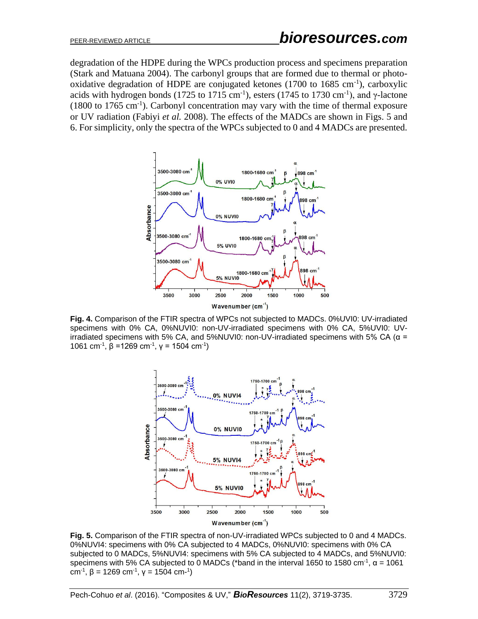degradation of the HDPE during the WPCs production process and specimens preparation (Stark and Matuana 2004). The carbonyl groups that are formed due to thermal or photooxidative degradation of HDPE are conjugated ketones  $(1700 \text{ to } 1685 \text{ cm}^{-1})$ , carboxylic acids with hydrogen bonds (1725 to 1715 cm<sup>-1</sup>), esters (1745 to 1730 cm<sup>-1</sup>), and  $\gamma$ -lactone  $(1800 \text{ to } 1765 \text{ cm}^{-1})$ . Carbonyl concentration may vary with the time of thermal exposure or UV radiation (Fabiyi *et al.* 2008). The effects of the MADCs are shown in Figs. 5 and 6. For simplicity, only the spectra of the WPCs subjected to 0 and 4 MADCs are presented.



**Fig. 4.** Comparison of the FTIR spectra of WPCs not subjected to MADCs. 0%UVI0: UV-irradiated specimens with 0% CA, 0%NUVI0: non-UV-irradiated specimens with 0% CA, 5%UVI0: UVirradiated specimens with 5% CA, and 5%NUVI0: non-UV-irradiated specimens with 5% CA ( $α =$ 1061 cm<sup>-1</sup>, β = 1269 cm<sup>-1</sup>, γ = 1504 cm<sup>-1</sup>)



**Fig. 5.** Comparison of the FTIR spectra of non-UV-irradiated WPCs subjected to 0 and 4 MADCs. 0%NUVI4: specimens with 0% CA subjected to 4 MADCs, 0%NUVI0: specimens with 0% CA subjected to 0 MADCs, 5%NUVI4: specimens with 5% CA subjected to 4 MADCs, and 5%NUVI0: specimens with 5% CA subjected to 0 MADCs (\*band in the interval 1650 to 1580 cm<sup>-1</sup>,  $\alpha$  = 1061 cm<sup>-1</sup>, β = 1269 cm<sup>-1</sup>, γ = 1504 cm-<sup>1</sup>)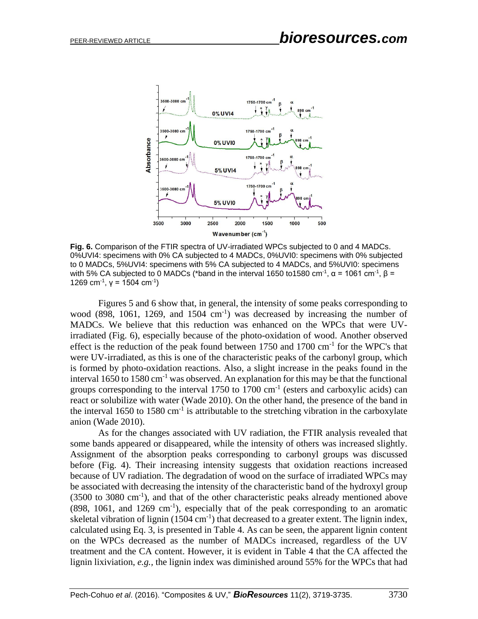

**Fig. 6.** Comparison of the FTIR spectra of UV-irradiated WPCs subjected to 0 and 4 MADCs. 0%UVI4: specimens with 0% CA subjected to 4 MADCs, 0%UVI0: specimens with 0% subjected to 0 MADCs, 5%UVI4: specimens with 5% CA subjected to 4 MADCs, and 5%UVI0: specimens with 5% CA subjected to 0 MADCs (\*band in the interval 1650 to1580 cm<sup>-1</sup>, α = 1061 cm<sup>-1</sup>, β = 1269 cm<sup>-1</sup>, γ = 1504 cm<sup>-1</sup>)

Figures 5 and 6 show that, in general, the intensity of some peaks corresponding to wood  $(898, 1061, 1269, and 1504 cm<sup>-1</sup>)$  was decreased by increasing the number of MADCs. We believe that this reduction was enhanced on the WPCs that were UVirradiated (Fig. 6), especially because of the photo-oxidation of wood. Another observed effect is the reduction of the peak found between  $1750$  and  $1700$  cm<sup>-1</sup> for the WPC's that were UV-irradiated, as this is one of the characteristic peaks of the carbonyl group, which is formed by photo-oxidation reactions. Also, a slight increase in the peaks found in the interval 1650 to 1580 cm-1 was observed. An explanation for this may be that the functional groups corresponding to the interval  $1750$  to  $1700 \text{ cm}^{-1}$  (esters and carboxylic acids) can react or solubilize with water (Wade 2010). On the other hand, the presence of the band in the interval 1650 to 1580  $\text{cm}^{-1}$  is attributable to the stretching vibration in the carboxylate anion (Wade 2010).

As for the changes associated with UV radiation, the FTIR analysis revealed that some bands appeared or disappeared, while the intensity of others was increased slightly. Assignment of the absorption peaks corresponding to carbonyl groups was discussed before (Fig. 4). Their increasing intensity suggests that oxidation reactions increased because of UV radiation. The degradation of wood on the surface of irradiated WPCs may be associated with decreasing the intensity of the characteristic band of the hydroxyl group (3500 to 3080 cm-1 ), and that of the other characteristic peaks already mentioned above  $(898, 1061,$  and  $1269 \text{ cm}^{-1})$ , especially that of the peak corresponding to an aromatic skeletal vibration of lignin  $(1504 \text{ cm}^{-1})$  that decreased to a greater extent. The lignin index, calculated using Eq. 3, is presented in Table 4. As can be seen, the apparent lignin content on the WPCs decreased as the number of MADCs increased, regardless of the UV treatment and the CA content. However, it is evident in Table 4 that the CA affected the lignin lixiviation, *e.g.,* the lignin index was diminished around 55% for the WPCs that had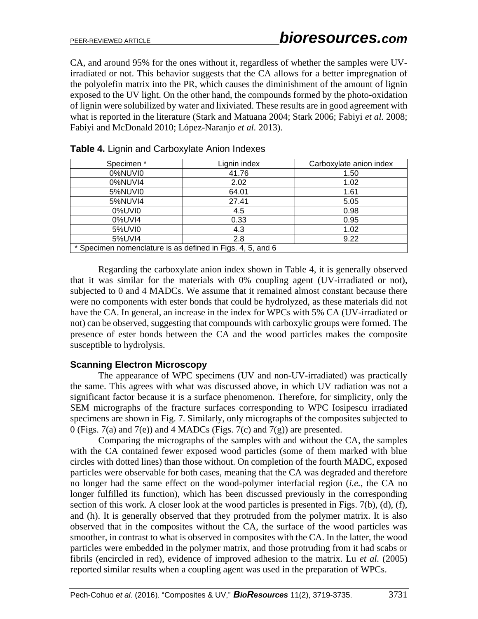CA, and around 95% for the ones without it, regardless of whether the samples were UVirradiated or not. This behavior suggests that the CA allows for a better impregnation of the polyolefin matrix into the PR, which causes the diminishment of the amount of lignin exposed to the UV light. On the other hand, the compounds formed by the photo-oxidation of lignin were solubilized by water and lixiviated. These results are in good agreement with what is reported in the literature (Stark and Matuana 2004; Stark 2006; Fabiyi *et al.* 2008; Fabiyi and McDonald 2010; López-Naranjo *et al.* 2013).

| Specimen*                                                  | Lignin index | Carboxylate anion index |  |  |
|------------------------------------------------------------|--------------|-------------------------|--|--|
| 0%NUVI0                                                    | 41.76        | 1.50                    |  |  |
| 0%NUVI4                                                    | 2.02         | 1.02                    |  |  |
| 5%NUVI0                                                    | 64.01        | 1.61                    |  |  |
| 5%NUVI4                                                    | 27.41        | 5.05                    |  |  |
| 0%UVI0                                                     | 4.5          | 0.98                    |  |  |
| 0%UVI4                                                     | 0.33         | 0.95                    |  |  |
| 5%UVI0                                                     | 4.3          | 1.02                    |  |  |
| 5%UVI4                                                     | 2.8          | 9.22                    |  |  |
| * Specimen nomenclature is as defined in Figs. 4, 5, and 6 |              |                         |  |  |

|  |  |  | Table 4. Lignin and Carboxylate Anion Indexes |
|--|--|--|-----------------------------------------------|
|  |  |  |                                               |

Regarding the carboxylate anion index shown in Table 4, it is generally observed that it was similar for the materials with 0% coupling agent (UV-irradiated or not), subjected to 0 and 4 MADCs. We assume that it remained almost constant because there were no components with ester bonds that could be hydrolyzed, as these materials did not have the CA. In general, an increase in the index for WPCs with 5% CA (UV-irradiated or not) can be observed, suggesting that compounds with carboxylic groups were formed. The presence of ester bonds between the CA and the wood particles makes the composite susceptible to hydrolysis.

# **Scanning Electron Microscopy**

The appearance of WPC specimens (UV and non-UV-irradiated) was practically the same. This agrees with what was discussed above, in which UV radiation was not a significant factor because it is a surface phenomenon. Therefore, for simplicity, only the SEM micrographs of the fracture surfaces corresponding to WPC Iosipescu irradiated specimens are shown in Fig. 7. Similarly, only micrographs of the composites subjected to 0 (Figs. 7(a) and 7(e)) and 4 MADCs (Figs. 7(c) and 7(g)) are presented.

Comparing the micrographs of the samples with and without the CA, the samples with the CA contained fewer exposed wood particles (some of them marked with blue circles with dotted lines) than those without. On completion of the fourth MADC, exposed particles were observable for both cases, meaning that the CA was degraded and therefore no longer had the same effect on the wood-polymer interfacial region (*i.e.*, the CA no longer fulfilled its function), which has been discussed previously in the corresponding section of this work. A closer look at the wood particles is presented in Figs. 7(b), (d), (f), and (h). It is generally observed that they protruded from the polymer matrix. It is also observed that in the composites without the CA, the surface of the wood particles was smoother, in contrast to what is observed in composites with the CA. In the latter, the wood particles were embedded in the polymer matrix, and those protruding from it had scabs or fibrils (encircled in red), evidence of improved adhesion to the matrix. Lu *et al.* (2005) reported similar results when a coupling agent was used in the preparation of WPCs.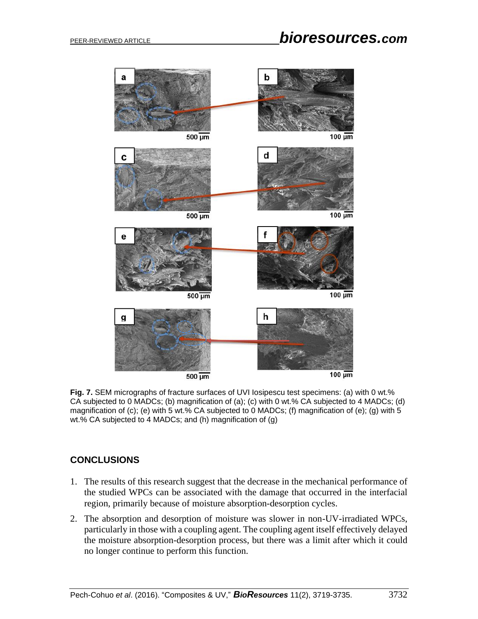

**Fig. 7.** SEM micrographs of fracture surfaces of UVI Iosipescu test specimens: (a) with 0 wt.% CA subjected to 0 MADCs; (b) magnification of (a); (c) with 0 wt.% CA subjected to 4 MADCs; (d) magnification of (c); (e) with 5 wt.% CA subjected to 0 MADCs; (f) magnification of (e); (g) with 5 wt.% CA subjected to 4 MADCs; and (h) magnification of (g)

# **CONCLUSIONS**

- 1. The results of this research suggest that the decrease in the mechanical performance of the studied WPCs can be associated with the damage that occurred in the interfacial region, primarily because of moisture absorption-desorption cycles.
- 2. The absorption and desorption of moisture was slower in non-UV-irradiated WPCs, particularly in those with a coupling agent. The coupling agent itself effectively delayed the moisture absorption-desorption process, but there was a limit after which it could no longer continue to perform this function.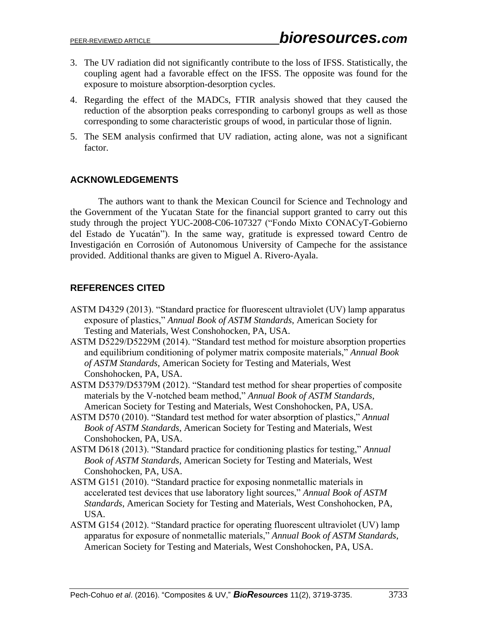- 3. The UV radiation did not significantly contribute to the loss of IFSS. Statistically, the coupling agent had a favorable effect on the IFSS. The opposite was found for the exposure to moisture absorption-desorption cycles.
- 4. Regarding the effect of the MADCs, FTIR analysis showed that they caused the reduction of the absorption peaks corresponding to carbonyl groups as well as those corresponding to some characteristic groups of wood, in particular those of lignin.
- 5. The SEM analysis confirmed that UV radiation, acting alone, was not a significant factor.

# **ACKNOWLEDGEMENTS**

The authors want to thank the Mexican Council for Science and Technology and the Government of the Yucatan State for the financial support granted to carry out this study through the project YUC-2008-C06-107327 ("Fondo Mixto CONACyT-Gobierno del Estado de Yucatán"). In the same way, gratitude is expressed toward Centro de Investigación en Corrosión of Autonomous University of Campeche for the assistance provided. Additional thanks are given to Miguel A. Rivero-Ayala.

# **REFERENCES CITED**

- ASTM D4329 (2013). "Standard practice for fluorescent ultraviolet (UV) lamp apparatus exposure of plastics," *Annual Book of ASTM Standards*, American Society for Testing and Materials, West Conshohocken, PA, USA.
- ASTM D5229/D5229M (2014). "Standard test method for moisture absorption properties and equilibrium conditioning of polymer matrix composite materials," *Annual Book of ASTM Standards*, American Society for Testing and Materials, West Conshohocken, PA, USA.
- ASTM D5379/D5379M (2012). "Standard test method for shear properties of composite materials by the V-notched beam method," *Annual Book of ASTM Standards*, American Society for Testing and Materials, West Conshohocken, PA, USA.
- ASTM D570 (2010). "Standard test method for water absorption of plastics," *Annual Book of ASTM Standards*, American Society for Testing and Materials, West Conshohocken, PA, USA.
- ASTM D618 (2013). "Standard practice for conditioning plastics for testing," *Annual Book of ASTM Standards*, American Society for Testing and Materials, West Conshohocken, PA, USA.
- ASTM G151 (2010). "Standard practice for exposing nonmetallic materials in accelerated test devices that use laboratory light sources," *Annual Book of ASTM Standards*, American Society for Testing and Materials, West Conshohocken, PA, USA.
- ASTM G154 (2012). "Standard practice for operating fluorescent ultraviolet (UV) lamp apparatus for exposure of nonmetallic materials," *Annual Book of ASTM Standards*, American Society for Testing and Materials, West Conshohocken, PA, USA.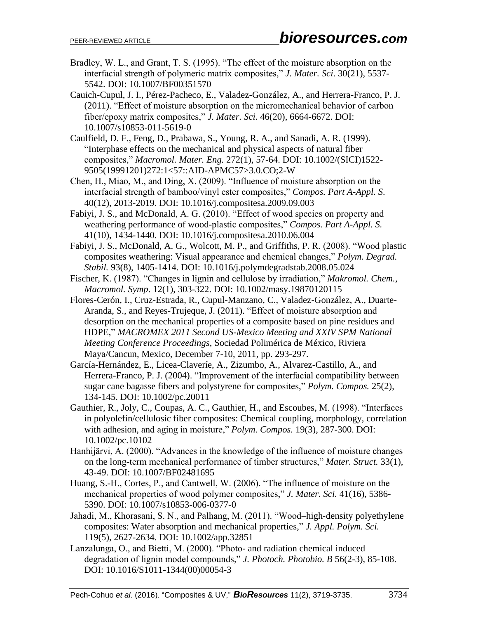- Bradley, W. L., and Grant, T. S. (1995). "The effect of the moisture absorption on the interfacial strength of polymeric matrix composites," *J. Mater. Sci*. 30(21), 5537- 5542. DOI: 10.1007/BF00351570
- Cauich-Cupul, J. I., Pérez-Pacheco, E., Valadez-González, A., and Herrera-Franco, P. J. (2011). "Effect of moisture absorption on the micromechanical behavior of carbon fiber/epoxy matrix composites," *J. Mater. Sci*. 46(20), 6664-6672. DOI: 10.1007/s10853-011-5619-0
- Caulfield, D. F., Feng, D., Prabawa, S., Young, R. A., and Sanadi, A. R. (1999). "Interphase effects on the mechanical and physical aspects of natural fiber composites," *Macromol. Mater. Eng.* 272(1), 57-64. DOI: 10.1002/(SICI)1522- 9505(19991201)272:1<57::AID-APMC57>3.0.CO;2-W
- Chen, H., Miao, M., and Ding, X. (2009). "Influence of moisture absorption on the interfacial strength of bamboo/vinyl ester composites," *Compos. Part A-Appl. S*. 40(12), 2013-2019. DOI: 10.1016/j.compositesa.2009.09.003
- Fabiyi, J. S., and McDonald, A. G. (2010). "Effect of wood species on property and weathering performance of wood-plastic composites," *Compos. Part A-Appl. S.* 41(10), 1434-1440. DOI: 10.1016/j.compositesa.2010.06.004
- Fabiyi, J. S., McDonald, A. G., Wolcott, M. P., and Griffiths, P. R. (2008). "Wood plastic composites weathering: Visual appearance and chemical changes," *Polym. Degrad. Stabil.* 93(8), 1405-1414. DOI: 10.1016/j.polymdegradstab.2008.05.024
- Fischer, K. (1987). "Changes in lignin and cellulose by irradiation," *Makromol. Chem., Macromol. Symp*. 12(1), 303-322. DOI: 10.1002/masy.19870120115
- Flores-Cerón, I., Cruz-Estrada, R., Cupul-Manzano, C., Valadez-González, A., Duarte-Aranda, S., and Reyes-Trujeque, J. (2011). "Effect of moisture absorption and desorption on the mechanical properties of a composite based on pine residues and HDPE," *MACROMEX 2011 Second US-Mexico Meeting and XXIV SPM National Meeting Conference Proceedings*, Sociedad Polimérica de México, Riviera Maya/Cancun, Mexico, December 7-10, 2011, pp. 293-297.
- García-Hernández, E., Licea-Claveríe, A., Zizumbo, A., Alvarez-Castillo, A., and Herrera-Franco, P. J. (2004). "Improvement of the interfacial compatibility between sugar cane bagasse fibers and polystyrene for composites," *Polym. Compos.* 25(2), 134-145. DOI: 10.1002/pc.20011
- Gauthier, R., Joly, C., Coupas, A. C., Gauthier, H., and Escoubes, M. (1998). "Interfaces in polyolefin/cellulosic fiber composites: Chemical coupling, morphology, correlation with adhesion, and aging in moisture," *Polym. Compos.* 19(3), 287-300. DOI: 10.1002/pc.10102
- Hanhijärvi, A. (2000). "Advances in the knowledge of the influence of moisture changes on the long-term mechanical performance of timber structures," *Mater. Struct.* 33(1), 43-49. DOI: 10.1007/BF02481695
- Huang, S.-H., Cortes, P., and Cantwell, W. (2006). "The influence of moisture on the mechanical properties of wood polymer composites," *J. Mater. Sci.* 41(16), 5386- 5390. DOI: 10.1007/s10853-006-0377-0
- Jahadi, M., Khorasani, S. N., and Palhang, M. (2011). "Wood–high‐density polyethylene composites: Water absorption and mechanical properties," *J. Appl. Polym. Sci.* 119(5), 2627-2634. DOI: 10.1002/app.32851
- Lanzalunga, O., and Bietti, M. (2000). "Photo- and radiation chemical induced degradation of lignin model compounds," *J. Photoch. Photobio. B* 56(2-3), 85-108. DOI: 10.1016/S1011-1344(00)00054-3